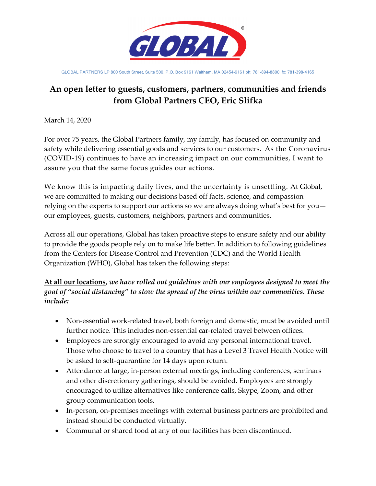

GLOBAL PARTNERS LP 800 South Street, Suite 500, P.O. Box 9161 Waltham, MA 02454-9161 ph: 781-894-8800 fx: 781-398-4165

## **An open letter to guests, customers, partners, communities and friends from Global Partners CEO, Eric Slifka**

March 14, 2020

For over 75 years, the Global Partners family, my family, has focused on community and safety while delivering essential goods and services to our customers. As the Coronavirus (COVID-19) continues to have an increasing impact on our communities, I want to assure you that the same focus guides our actions.

We know this is impacting daily lives, and the uncertainty is unsettling. At Global, we are committed to making our decisions based off facts, science, and compassion – relying on the experts to support our actions so we are always doing what's best for you our employees, guests, customers, neighbors, partners and communities.

Across all our operations, Global has taken proactive steps to ensure safety and our ability to provide the goods people rely on to make life better. In addition to following guidelines from the Centers for Disease Control and Prevention (CDC) and the World Health Organization (WHO), Global has taken the following steps:

**At all our locations,** *we have rolled out guidelines with our employees designed to meet the goal of "social distancing" to slow the spread of the virus within our communities. These include:* 

- Non-essential work-related travel, both foreign and domestic, must be avoided until further notice. This includes non-essential car-related travel between offices.
- Employees are strongly encouraged to avoid any personal international travel. Those who choose to travel to a country that has a Level 3 Travel Health Notice will be asked to self-quarantine for 14 days upon return.
- Attendance at large, in-person external meetings, including conferences, seminars and other discretionary gatherings, should be avoided. Employees are strongly encouraged to utilize alternatives like conference calls, Skype, Zoom, and other group communication tools.
- In-person, on-premises meetings with external business partners are prohibited and instead should be conducted virtually.
- Communal or shared food at any of our facilities has been discontinued.